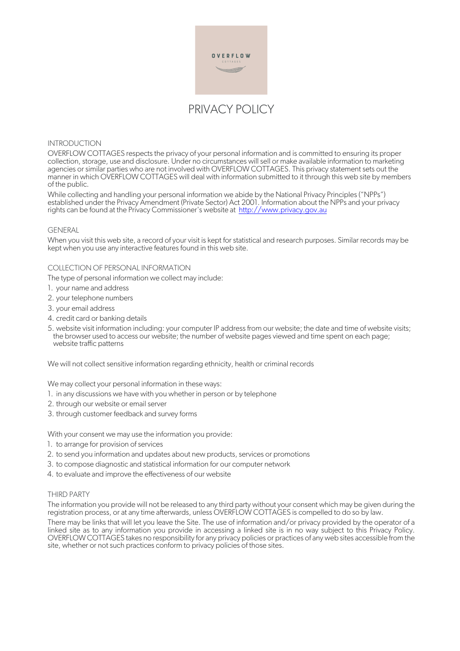

# INTRODUCTION

OVERFLOW COTTAGES respects the privacy of your personal information and is committed to ensuring its proper collection, storage, use and disclosure. Under no circumstances will sell or make available information to marketing agencies or similar parties who are not involved with OVERFLOW COTTAGES. This privacy statement sets out the manner in which OVERFLOW COTTAGES will deal with information submitted to it through this web site by members of the public.

While collecting and handling your personal information we abide by the National Privacy Principles ("NPPs") established under the Privacy Amendment (Private Sector) Act 2001. Information about the NPPs and your privacy rights can be found at the Privacy Commissioner's website at http://www.privacy.gov.au

### **GENERAL**

When you visit this web site, a record of your visit is kept for statistical and research purposes. Similar records may be kept when you use any interactive features found in this web site.

## COLLECTION OF PERSONAL INFORMATION

The type of personal information we collect may include:

- 1. your name and address
- 2. your telephone numbers
- 3. your email address
- 4. credit card or banking details
- 5. website visit information including: your computer IP address from our website; the date and time of website visits; the browser used to access our website; the number of website pages viewed and time spent on each page; website traffic patterns

We will not collect sensitive information regarding ethnicity, health or criminal records

We may collect your personal information in these ways:

- 1. in any discussions we have with you whether in person or by telephone
- 2. through our website or email server
- 3. through customer feedback and survey forms

With your consent we may use the information you provide:

- 1. to arrange for provision of services
- 2. to send you information and updates about new products, services or promotions
- 3. to compose diagnostic and statistical information for our computer network
- 4. to evaluate and improve the effectiveness of our website

#### THIRD PARTY

The information you provide will not be released to any third party without your consent which may be given during the registration process, or at any time afterwards, unless OVERFLOW COTTAGES is compelled to do so by law.

There may be links that will let you leave the Site. The use of information and/or privacy provided by the operator of a linked site as to any information you provide in accessing a linked site is in no way subject to this Privacy Policy. OVERFLOW COTTAGES takes no responsibility for any privacy policies or practices of any web sites accessible from the site, whether or not such practices conform to privacy policies of those sites.